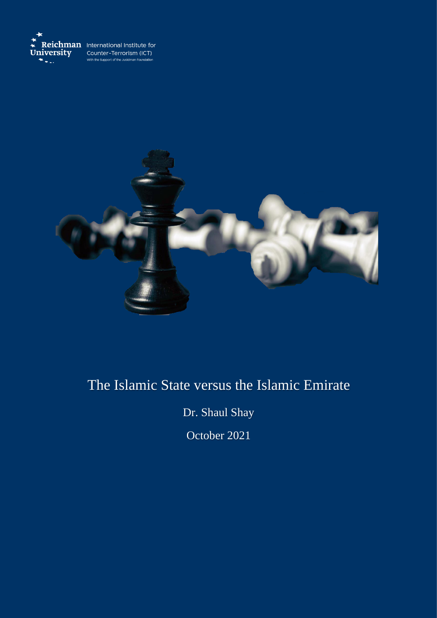



# The Islamic State versus the Islamic Emirate

Dr. Shaul Shay

October 2021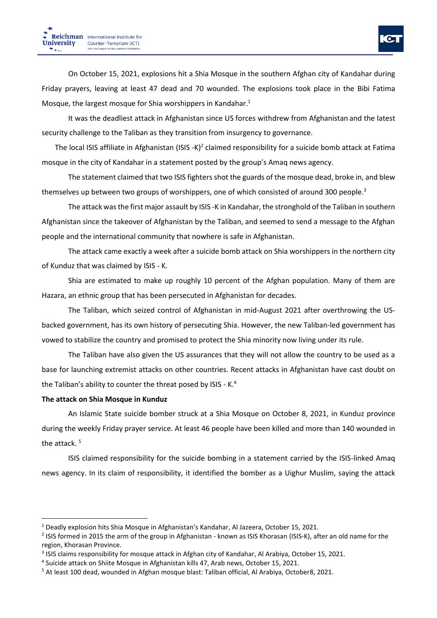On October 15, 2021, explosions hit a Shia Mosque in the southern Afghan city of Kandahar during Friday prayers, leaving at least 47 dead and 70 wounded. The explosions took place in the Bibi Fatima Mosque, the largest mosque for Shia worshippers in Kandahar.<sup>1</sup>

It was the deadliest attack in Afghanistan since US forces withdrew from Afghanistan and the latest security challenge to the Taliban as they transition from insurgency to governance.

The local ISIS affiliate in Afghanistan (ISIS -K)<sup>2</sup> claimed responsibility for a suicide bomb attack at Fatima mosque in the city of Kandahar in a statement posted by the group's Amaq news agency.

The statement claimed that two ISIS fighters shot the guards of the mosque dead, broke in, and blew themselves up between two groups of worshippers, one of which consisted of around 300 people.<sup>3</sup>

The attack was the first major assault by ISIS -K in Kandahar, the stronghold of the Taliban in southern Afghanistan since the takeover of Afghanistan by the Taliban, and seemed to send a message to the Afghan people and the international community that nowhere is safe in Afghanistan.

The attack came exactly a week after a suicide bomb attack on Shia worshippers in the northern city of Kunduz that was claimed by ISIS - K.

Shia are estimated to make up roughly 10 percent of the Afghan population. Many of them are Hazara, an ethnic group that has been persecuted in Afghanistan for decades.

The Taliban, which seized control of Afghanistan in mid-August 2021 after overthrowing the USbacked government, has its own history of persecuting Shia. However, the new Taliban-led government has vowed to stabilize the country and promised to protect the Shia minority now living under its rule.

The Taliban have also given the US assurances that they will not allow the country to be used as a base for launching extremist attacks on other countries. Recent attacks in Afghanistan have cast doubt on the Taliban's ability to counter the threat posed by ISIS - K.<sup>4</sup>

#### **The attack on Shia Mosque in Kunduz**

An Islamic State suicide bomber struck at a Shia Mosque on October 8, 2021, in Kunduz province during the weekly Friday prayer service. At least 46 people have been killed and more than 140 wounded in the attack. <sup>5</sup> 

ISIS claimed responsibility for the suicide bombing in a statement carried by the ISIS-linked Amaq news agency. In its claim of responsibility, it identified the bomber as a Uighur Muslim, saying the attack

 $1$  Deadly explosion hits Shia Mosque in Afghanistan's Kandahar, Al Jazeera, October 15, 2021.

<sup>&</sup>lt;sup>2</sup> ISIS formed in 2015 the arm of the group in Afghanistan - known as ISIS Khorasan (ISIS-K), after an old name for the region, Khorasan Province.

<sup>&</sup>lt;sup>3</sup> ISIS claims responsibility for mosque attack in Afghan city of Kandahar, Al Arabiya, October 15, 2021.

<sup>4</sup> Suicide attack on Shiite Mosque in Afghanistan kills 47, Arab news, October 15, 2021.

<sup>5</sup> At least 100 dead, wounded in Afghan mosque blast: Taliban official, Al Arabiya, October8, 2021.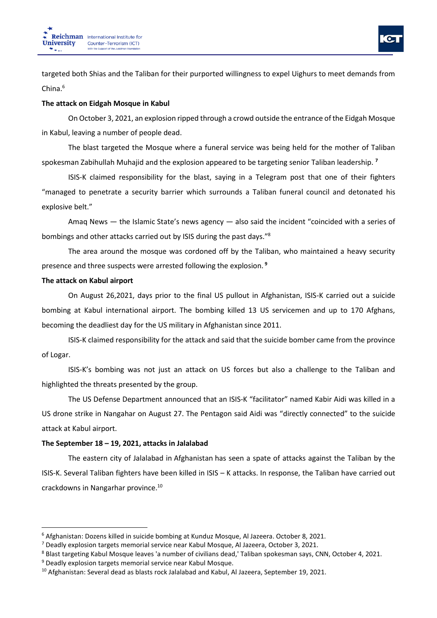

targeted both Shias and the Taliban for their purported willingness to expel Uighurs to meet demands from China.<sup>6</sup>

#### **The attack on Eidgah Mosque in Kabul**

On October 3, 2021, an explosion ripped through a crowd outside the entrance of the Eidgah Mosque in Kabul, leaving a number of people dead.

The blast targeted the Mosque where a funeral service was being held for the mother of Taliban spokesman Zabihullah Muhajid and the explosion appeared to be targeting senior Taliban leadership. **<sup>7</sup>**

ISIS-K claimed responsibility for the blast, saying in a Telegram post that one of their fighters "managed to penetrate a security barrier which surrounds a Taliban funeral council and detonated his explosive belt."

Amaq News — the Islamic State's news agency — also said the incident "coincided with a series of bombings and other attacks carried out by ISIS during the past days."<sup>8</sup>

The area around the mosque was cordoned off by the Taliban, who maintained a heavy security presence and three suspects were arrested following the explosion. **<sup>9</sup>**

#### **The attack on Kabul airport**

On August 26,2021, days prior to the final US pullout in Afghanistan, ISIS-K carried out a suicide bombing at Kabul international airport. The bombing killed 13 US servicemen and up to 170 Afghans, becoming the deadliest day for the US military in Afghanistan since 2011.

ISIS-K claimed responsibility for the attack and said that the suicide bomber came from the province of Logar.

ISIS-K's bombing was not just an attack on US forces but also a challenge to the Taliban and highlighted the threats presented by the group.

The US Defense Department announced that an ISIS-K "facilitator" named Kabir Aidi was killed in a US drone strike in Nangahar on August 27. The Pentagon said Aidi was "directly connected" to the suicide attack at Kabul airport.

## **The September 18 – 19, 2021, attacks in Jalalabad**

The eastern city of Jalalabad in Afghanistan has seen a spate of attacks against the Taliban by the ISIS-K. Several Taliban fighters have been killed in ISIS – K attacks. In response, the Taliban have carried out crackdowns in Nangarhar province.<sup>10</sup>

<sup>6</sup> Afghanistan: Dozens killed in suicide bombing at Kunduz Mosque, Al Jazeera. October 8, 2021.

<sup>7</sup> Deadly explosion targets memorial service near Kabul Mosque, Al Jazeera, October 3, 2021.

<sup>8</sup> Blast targeting Kabul Mosque leaves 'a number of civilians dead,' Taliban spokesman says, CNN, October 4, 2021.

<sup>9</sup> Deadly explosion targets memorial service near Kabul Mosque.

<sup>&</sup>lt;sup>10</sup> Afghanistan: Several dead as blasts rock Jalalabad and Kabul, Al Jazeera, September 19, 2021.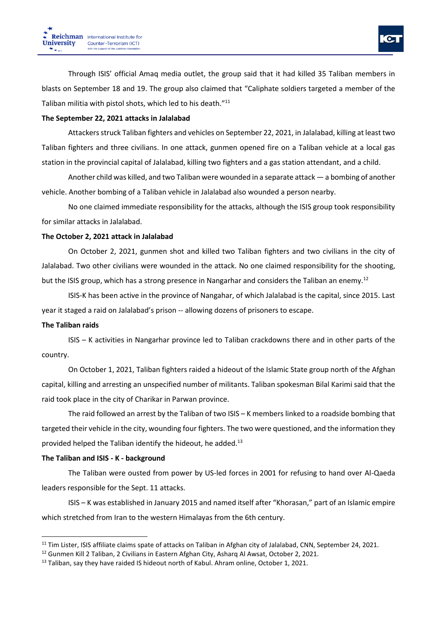# **The September 22, 2021 attacks in Jalalabad**

Attackers struck Taliban fighters and vehicles on September 22, 2021, in Jalalabad, killing at least two Taliban fighters and three civilians. In one attack, gunmen opened fire on a Taliban vehicle at a local gas station in the provincial capital of Jalalabad, killing two fighters and a gas station attendant, and a child.

Another child was killed, and two Taliban were wounded in a separate attack — a bombing of another vehicle. Another bombing of a Taliban vehicle in Jalalabad also wounded a person nearby.

No one claimed immediate responsibility for the attacks, although the ISIS group took responsibility for similar attacks in Jalalabad.

# **The October 2, 2021 attack in Jalalabad**

On October 2, 2021, gunmen shot and killed two Taliban fighters and two civilians in the city of Jalalabad. Two other civilians were wounded in the attack. No one claimed responsibility for the shooting, but the ISIS group, which has a strong presence in Nangarhar and considers the Taliban an enemy.<sup>12</sup>

ISIS-K has been active in the province of Nangahar, of which Jalalabad is the capital, since 2015. Last year it staged a raid on Jalalabad's prison -- allowing dozens of prisoners to escape.

# **The Taliban raids**

ISIS – K activities in Nangarhar province led to Taliban crackdowns there and in other parts of the country.

On October 1, 2021, Taliban fighters raided a hideout of the Islamic State group north of the Afghan capital, killing and arresting an unspecified number of militants. Taliban spokesman Bilal Karimi said that the raid took place in the city of Charikar in Parwan province.

The raid followed an arrest by the Taliban of two ISIS – K members linked to a roadside bombing that targeted their vehicle in the city, wounding four fighters. The two were questioned, and the information they provided helped the Taliban identify the hideout, he added. $13$ 

# **The Taliban and ISIS - K - background**

The Taliban were ousted from power by US-led forces in 2001 for refusing to hand over Al-Qaeda leaders responsible for the Sept. 11 attacks.

ISIS – K was established in January 2015 and named itself after "Khorasan," part of an Islamic empire which stretched from Iran to the western Himalayas from the 6th century.

<sup>&</sup>lt;sup>11</sup> Tim Lister, ISIS affiliate claims spate of attacks on Taliban in Afghan city of Jalalabad, CNN, September 24, 2021.

<sup>&</sup>lt;sup>12</sup> Gunmen Kill 2 Taliban, 2 Civilians in Eastern Afghan City, Asharq Al Awsat, October 2, 2021.

<sup>&</sup>lt;sup>13</sup> Taliban, say they have raided IS hideout north of Kabul. Ahram online, October 1, 2021.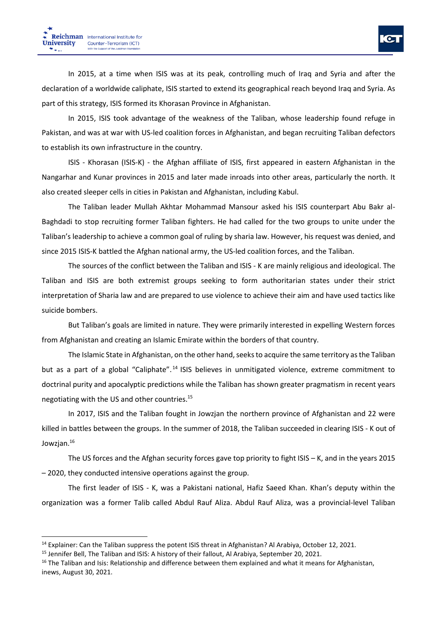In 2015, at a time when ISIS was at its peak, controlling much of Iraq and Syria and after the declaration of a worldwide caliphate, ISIS started to extend its geographical reach beyond Iraq and Syria. As part of this strategy, ISIS formed its Khorasan Province in Afghanistan.

In 2015, ISIS took advantage of the weakness of the Taliban, whose leadership found refuge in Pakistan, and was at war with US-led coalition forces in Afghanistan, and began recruiting Taliban defectors to establish its own infrastructure in the country.

ISIS - Khorasan (ISIS-K) - the Afghan affiliate of ISIS, first appeared in eastern Afghanistan in the Nangarhar and Kunar provinces in 2015 and later made inroads into other areas, particularly the north. It also created sleeper cells in cities in Pakistan and Afghanistan, including Kabul.

The Taliban leader Mullah Akhtar Mohammad Mansour asked his ISIS counterpart Abu Bakr al-Baghdadi to stop recruiting former Taliban fighters. He had called for the two groups to unite under the Taliban's leadership to achieve a common goal of ruling by sharia law. However, his request was denied, and since 2015 ISIS-K battled the Afghan national army, the US-led coalition forces, and the Taliban.

The sources of the conflict between the Taliban and ISIS - K are mainly religious and ideological. The Taliban and ISIS are both extremist groups seeking to form authoritarian states under their strict interpretation of Sharia law and are prepared to use violence to achieve their aim and have used tactics like suicide bombers.

But Taliban's goals are limited in nature. They were primarily interested in expelling Western forces from Afghanistan and creating an Islamic Emirate within the borders of that country.

The Islamic State in Afghanistan, on the other hand, seeks to acquire the same territory as the Taliban but as a part of a global "Caliphate".<sup>14</sup> ISIS believes in unmitigated violence, extreme commitment to doctrinal purity and apocalyptic predictions while the Taliban has shown greater pragmatism in recent years negotiating with the US and other countries.<sup>15</sup>

In 2017, ISIS and the Taliban fought in Jowzjan the northern province of Afghanistan and 22 were killed in battles between the groups. In the summer of 2018, the Taliban succeeded in clearing ISIS - K out of Jowzjan. 16

The US forces and the Afghan security forces gave top priority to fight ISIS – K, and in the years 2015 – 2020, they conducted intensive operations against the group.

The first leader of ISIS - K, was a Pakistani national, Hafiz Saeed Khan. Khan's deputy within the organization was a former Talib called Abdul Rauf Aliza. Abdul Rauf Aliza, was a provincial-level Taliban

<sup>&</sup>lt;sup>14</sup> Explainer: Can the Taliban suppress the potent ISIS threat in Afghanistan? Al Arabiya, October 12, 2021.

<sup>&</sup>lt;sup>15</sup> Jennifer Bell, The Taliban and ISIS: A history of their fallout, Al Arabiya, September 20, 2021.

<sup>&</sup>lt;sup>16</sup> The Taliban and Isis: Relationship and difference between them explained and what it means for Afghanistan, inews, August 30, 2021.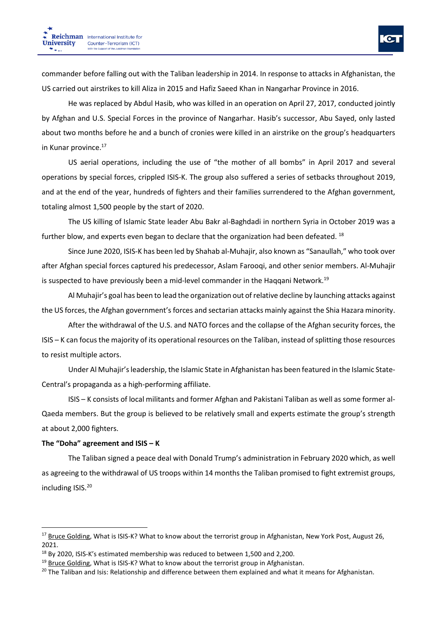commander before falling out with the Taliban leadership in 2014. In response to attacks in Afghanistan, the US carried out airstrikes to kill Aliza in 2015 and Hafiz Saeed Khan in Nangarhar Province in 2016.

He was replaced by Abdul Hasib, who was killed in an operation on April 27, 2017, conducted jointly by Afghan and U.S. Special Forces in the province of Nangarhar. Hasib's successor, Abu Sayed, only lasted about two months before he and a bunch of cronies were killed in an airstrike on the group's headquarters in Kunar province.<sup>17</sup>

US aerial operations, including the use of "the mother of all bombs" in April 2017 and several operations by special forces, crippled ISIS-K. The group also suffered a series of setbacks throughout 2019, and at the end of the year, hundreds of fighters and their families surrendered to the Afghan government, totaling almost 1,500 people by the start of 2020.

The US killing of Islamic State leader Abu Bakr al-Baghdadi in northern Syria in October 2019 was a further blow, and experts even began to declare that the organization had been defeated. <sup>18</sup>

Since June 2020, ISIS-K has been led by Shahab al-Muhajir, also known as "Sanaullah," who took over after Afghan special forces captured his predecessor, Aslam Farooqi, and other senior members. Al-Muhajir is suspected to have previously been a mid-level commander in the Haqqani Network.<sup>19</sup>

Al Muhajir's goal has been to lead the organization out of relative decline by launching attacks against the US forces, the Afghan government's forces and sectarian attacks mainly against the Shia Hazara minority.

After the withdrawal of the U.S. and NATO forces and the collapse of the Afghan security forces, the ISIS – K can focus the majority of its operational resources on the Taliban, instead of splitting those resources to resist multiple actors.

Under Al Muhajir's leadership, the Islamic State in Afghanistan has been featured in the Islamic State-Central's propaganda as a high-performing affiliate.

ISIS – K consists of local militants and former Afghan and Pakistani Taliban as well as some former al-Qaeda members. But the group is believed to be relatively small and experts estimate the group's strength at about 2,000 fighters.

#### **The "Doha" agreement and ISIS – K**

The Taliban signed a peace deal with Donald Trump's administration in February 2020 which, as well as agreeing to the withdrawal of US troops within 14 months the Taliban promised to fight extremist groups, including ISIS. 20

<sup>&</sup>lt;sup>17</sup> Bruce [Golding,](https://nypost.com/2021/08/26/who-are-isis-k-what-to-know-about-the-afghan-terrorist-group/) What is ISIS-K? What to know about the terrorist group in Afghanistan, New York Post, August 26, 2021.

<sup>18</sup> By 2020, ISIS-K's estimated membership was reduced to between 1,500 and 2,200.

<sup>&</sup>lt;sup>19</sup> Bruce [Golding,](https://nypost.com/2021/08/26/who-are-isis-k-what-to-know-about-the-afghan-terrorist-group/) What is ISIS-K? What to know about the terrorist group in Afghanistan.

<sup>&</sup>lt;sup>20</sup> The Taliban and Isis: Relationship and difference between them explained and what it means for Afghanistan.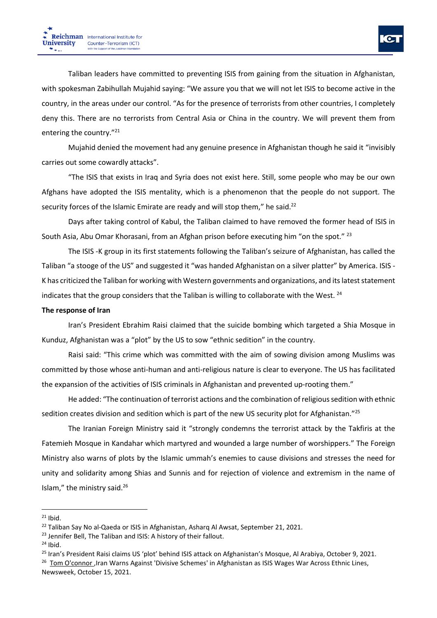Taliban leaders have committed to preventing ISIS from gaining from the situation in Afghanistan, with spokesman Zabihullah Mujahid saying: "We assure you that we will not let ISIS to become active in the country, in the areas under our control. "As for the presence of terrorists from other countries, I completely deny this. There are no terrorists from Central Asia or China in the country. We will prevent them from entering the country."<sup>21</sup>

Mujahid denied the movement had any genuine presence in Afghanistan though he said it "invisibly carries out some cowardly attacks".

"The ISIS that exists in Iraq and Syria does not exist here. Still, some people who may be our own Afghans have adopted the ISIS mentality, which is a phenomenon that the people do not support. The security forces of the Islamic Emirate are ready and will stop them," he said.<sup>22</sup>

Days after taking control of Kabul, the Taliban claimed to have removed the former head of ISIS in South Asia, Abu Omar Khorasani, from an Afghan prison before executing him "on the spot." <sup>23</sup>

The ISIS -K group in its first statements following the Taliban's seizure of Afghanistan, has called the Taliban "a stooge of the US" and suggested it "was handed Afghanistan on a silver platter" by America. ISIS - K has criticized the Taliban for working with Western governments and organizations, and its latest statement indicates that the group considers that the Taliban is willing to collaborate with the West.  $24$ 

#### **The response of Iran**

Iran's President Ebrahim Raisi claimed that the suicide bombing which targeted a Shia Mosque in Kunduz, Afghanistan was a "plot" by the US to sow "ethnic sedition" in the country.

Raisi said: "This crime which was committed with the aim of sowing division among Muslims was committed by those whose anti-human and anti-religious nature is clear to everyone. The US has facilitated the expansion of the activities of ISIS criminals in Afghanistan and prevented up-rooting them."

He added: "The continuation of terrorist actions and the combination of religious sedition with ethnic sedition creates division and sedition which is part of the new US security plot for Afghanistan."<sup>25</sup>

The Iranian Foreign Ministry said it "strongly condemns the terrorist attack by the Takfiris at the Fatemieh Mosque in Kandahar which martyred and wounded a large number of worshippers." The Foreign Ministry also warns of plots by the Islamic ummah's enemies to cause divisions and stresses the need for unity and solidarity among Shias and Sunnis and for rejection of violence and extremism in the name of Islam," the ministry said.<sup>26</sup>

 $24$  Ibid.

 $21$  Ibid.

<sup>&</sup>lt;sup>22</sup> Taliban Say No al-Qaeda or ISIS in Afghanistan, Asharq Al Awsat, September 21, 2021.

<sup>&</sup>lt;sup>23</sup> Jennifer Bell, The Taliban and ISIS: A history of their fallout.

<sup>&</sup>lt;sup>25</sup> Iran's President Raisi claims US 'plot' behind ISIS attack on Afghanistan's Mosque, Al Arabiya, October 9, 2021.

<sup>&</sup>lt;sup>26</sup> Tom [O'connor](https://www.newsweek.com/authors/tom-oconnor) , Iran Warns Against 'Divisive Schemes' in Afghanistan as ISIS Wages War Across Ethnic Lines, Newsweek, October 15, 2021.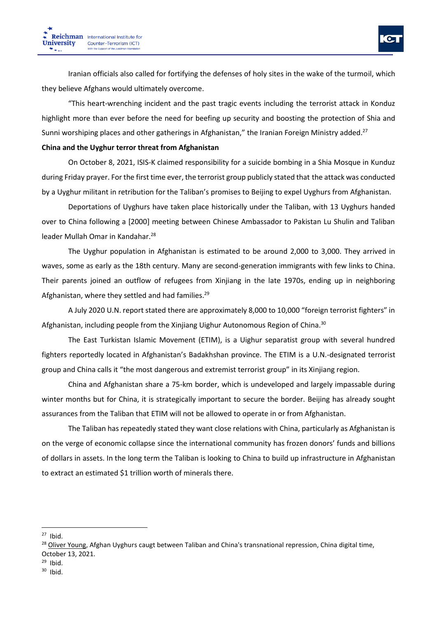Iranian officials also called for fortifying the defenses of holy sites in the wake of the turmoil, which they believe Afghans would ultimately overcome.

"This heart-wrenching incident and the past tragic events including the terrorist attack in Konduz highlight more than ever before the need for beefing up security and boosting the protection of Shia and Sunni worshiping places and other gatherings in Afghanistan," the Iranian Foreign Ministry added.<sup>27</sup>

## **China and the Uyghur terror threat from Afghanistan**

On October 8, 2021, ISIS-K claimed responsibility for a suicide bombing in a Shia Mosque in Kunduz during Friday prayer. For the first time ever, the terrorist group publicly stated that the attack was conducted by a Uyghur militant in retribution for the Taliban's promises to Beijing to expel Uyghurs from Afghanistan.

Deportations of Uyghurs have taken place historically under the Taliban, with 13 Uyghurs handed over to China following a [2000] meeting between Chinese Ambassador to Pakistan Lu Shulin and Taliban leader Mullah Omar in Kandahar.<sup>28</sup>

The Uyghur population in Afghanistan is estimated to be around 2,000 to 3,000. They arrived in waves, some as early as the 18th century. Many are second-generation immigrants with few links to China. Their parents joined an outflow of refugees from Xinjiang in the late 1970s, ending up in neighboring Afghanistan, where they settled and had families.<sup>29</sup>

A July 2020 U.N. report stated there are approximately 8,000 to 10,000 "foreign terrorist fighters" in Afghanistan, including people from the Xinjiang Uighur Autonomous Region of China.<sup>30</sup>

The East Turkistan Islamic Movement (ETIM), is a Uighur separatist group with several hundred fighters reportedly located in Afghanistan's Badakhshan province. The ETIM is a U.N.-designated terrorist group and China calls it "the most dangerous and extremist terrorist group" in its Xinjiang region.

China and Afghanistan share a 75-km border, which is undeveloped and largely impassable during winter months but for China, it is strategically important to secure the border. Beijing has already sought assurances from the Taliban that ETIM will not be allowed to operate in or from Afghanistan.

The Taliban has repeatedly stated they want close relations with China, particularly as Afghanistan is on the verge of economic collapse since the international community has frozen donors' funds and billions of dollars in assets. In the long term the Taliban is looking to China to build up infrastructure in Afghanistan to extract an estimated \$1 trillion worth of minerals there.

 $27$  Ibid.

<sup>&</sup>lt;sup>28</sup> Oliver [Young,](https://chinadigitaltimes.net/author/oliveryoung/) Afghan Uyghurs caugt between Taliban and China's transnational repression, China digital time, October 13, 2021.

 $29$  Ibid.

 $30$  Ibid.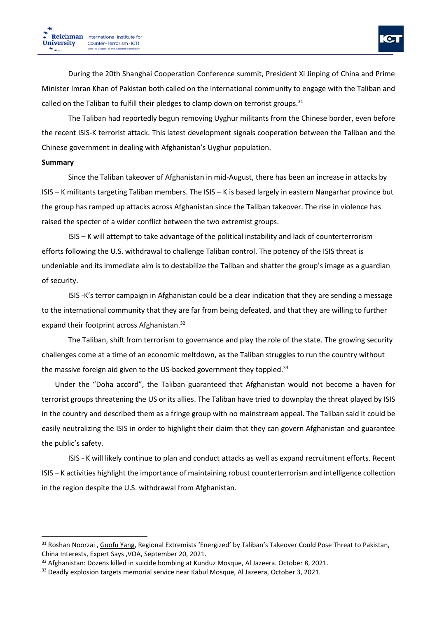During the 20th Shanghai Cooperation Conference summit, President Xi Jinping of China and Prime Minister Imran Khan of Pakistan both called on the international community to engage with the Taliban and called on the Taliban to fulfill their pledges to clamp down on terrorist groups. $31$ 

The Taliban had reportedly begun removing Uyghur militants from the Chinese border, even before the recent ISIS-K terrorist attack. This latest development signals cooperation between the Taliban and the Chinese government in dealing with Afghanistan's Uyghur population.

## **Summary**

Since the Taliban takeover of Afghanistan in mid-August, there has been an increase in attacks by ISIS – K militants targeting Taliban members. The ISIS – K is based largely in eastern Nangarhar province but the group has ramped up attacks across Afghanistan since the Taliban takeover. The rise in violence has raised the specter of a wider conflict between the two extremist groups.

ISIS – K will attempt to take advantage of the political instability and lack of counterterrorism efforts following the U.S. withdrawal to challenge Taliban control. The potency of the ISIS threat is undeniable and its immediate aim is to destabilize the Taliban and shatter the group's image as a guardian of security.

ISIS -K's terror campaign in Afghanistan could be a clear indication that they are sending a message to the international community that they are far from being defeated, and that they are willing to further expand their footprint across Afghanistan.<sup>32</sup>

The Taliban, shift from terrorism to governance and play the role of the state. The growing security challenges come at a time of an economic meltdown, as the Taliban struggles to run the country without the massive foreign aid given to the US-backed government they toppled.<sup>33</sup>

Under the "Doha accord", the Taliban guaranteed that Afghanistan would not become a haven for terrorist groups threatening the US or its allies. The Taliban have tried to downplay the threat played by ISIS in the country and described them as a fringe group with no mainstream appeal. The Taliban said it could be easily neutralizing the ISIS in order to highlight their claim that they can govern Afghanistan and guarantee the public's safety.

ISIS - K will likely continue to plan and conduct attacks as well as expand recruitment efforts. Recent ISIS – K activities highlight the importance of maintaining robust counterterrorism and intelligence collection in the region despite the U.S. withdrawal from Afghanistan.

<sup>&</sup>lt;sup>31</sup> Roshan Noorzai, [Guofu](https://www.voanews.com/author/guofu-yang/ryjm_) Yang, Regional Extremists 'Energized' by Taliban's Takeover Could Pose Threat to Pakistan, China Interests, Expert Says ,VOA, September 20, 2021.

<sup>&</sup>lt;sup>32</sup> Afghanistan: Dozens killed in suicide bombing at Kunduz Mosque, Al Jazeera. October 8, 2021.

<sup>&</sup>lt;sup>33</sup> Deadly explosion targets memorial service near Kabul Mosque, Al Jazeera, October 3, 2021.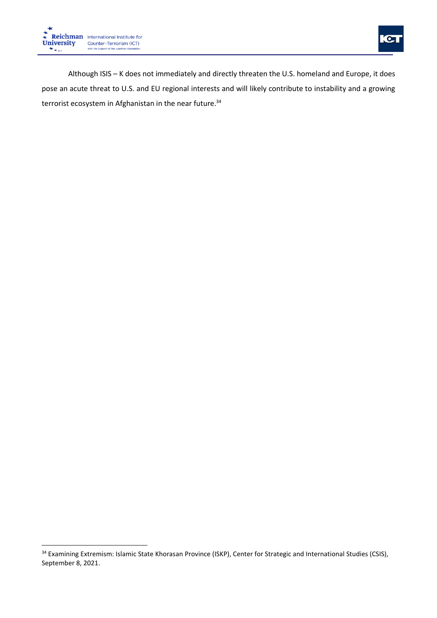

 $\bullet$ 

Although ISIS – K does not immediately and directly threaten the U.S. homeland and Europe, it does pose an acute threat to U.S. and EU regional interests and will likely contribute to instability and a growing terrorist ecosystem in Afghanistan in the near future.<sup>34</sup>

<sup>34</sup> Examining Extremism: Islamic State Khorasan Province (ISKP), Center for Strategic and International Studies (CSIS), September 8, 2021.